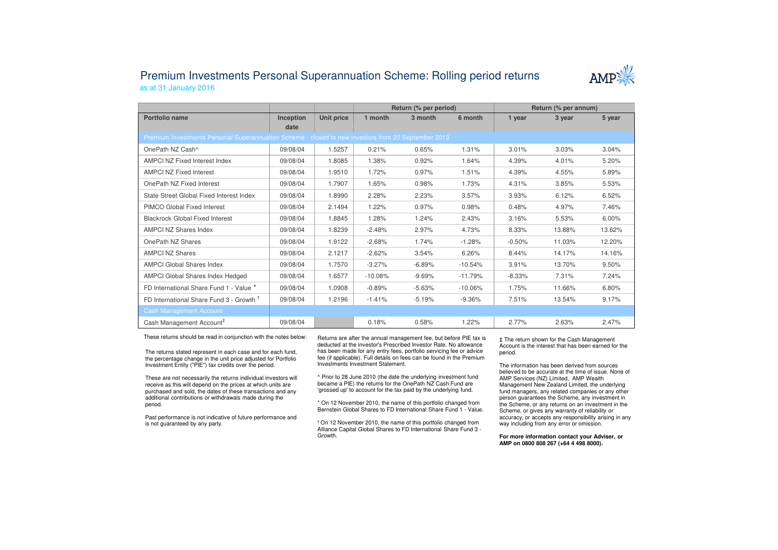## Premium Investments Personal Superannuation Scheme: Rolling period returnsas at 31 January 2016



|                                                                                                     |           |            | Return (% per period) |          |           | Return (% per annum) |        |        |  |  |  |
|-----------------------------------------------------------------------------------------------------|-----------|------------|-----------------------|----------|-----------|----------------------|--------|--------|--|--|--|
| Portfolio name                                                                                      | Inception | Unit price | 1 month               | 3 month  | 6 month   | 1 year               | 3 year | 5 year |  |  |  |
|                                                                                                     | date      |            |                       |          |           |                      |        |        |  |  |  |
| Premium Investments Personal Superannuation Scheme - closed to new investors from 20 September 2013 |           |            |                       |          |           |                      |        |        |  |  |  |
| OnePath NZ Cash^                                                                                    | 09/08/04  | 1.5257     | 0.21%                 | 0.65%    | 1.31%     | 3.01%                | 3.03%  | 3.04%  |  |  |  |
| AMPCI NZ Fixed Interest Index                                                                       | 09/08/04  | 1.8085     | 1.38%                 | 0.92%    | 1.64%     | 4.39%                | 4.01%  | 5.20%  |  |  |  |
| <b>AMPCI NZ Fixed Interest</b>                                                                      | 09/08/04  | 1.9510     | 1.72%                 | 0.97%    | 1.51%     | 4.39%                | 4.55%  | 5.89%  |  |  |  |
| OnePath NZ Fixed Interest                                                                           | 09/08/04  | 1.7907     | 1.65%                 | 0.98%    | 1.73%     | 4.31%                | 3.85%  | 5.53%  |  |  |  |
| State Street Global Fixed Interest Index                                                            | 09/08/04  | 1.8990     | 2.28%                 | 2.23%    | 3.57%     | 3.93%                | 6.12%  | 6.52%  |  |  |  |
| PIMCO Global Fixed Interest                                                                         | 09/08/04  | 2.1494     | 1.22%                 | 0.97%    | 0.98%     | 0.48%                | 4.97%  | 7.46%  |  |  |  |
| <b>Blackrock Global Fixed Interest</b>                                                              | 09/08/04  | 1.8845     | 1.28%                 | 1.24%    | 2.43%     | 3.16%                | 5.53%  | 6.00%  |  |  |  |
| <b>AMPCI NZ Shares Index</b>                                                                        | 09/08/04  | 1.8239     | $-2.48%$              | 2.97%    | 4.73%     | 8.33%                | 13.88% | 13.62% |  |  |  |
| OnePath NZ Shares                                                                                   | 09/08/04  | 1.9122     | $-2.68%$              | 1.74%    | $-1.28%$  | $-0.50%$             | 11.03% | 12.20% |  |  |  |
| <b>AMPCI NZ Shares</b>                                                                              | 09/08/04  | 2.1217     | $-2.62%$              | 3.54%    | 6.26%     | 8.44%                | 14.17% | 14.16% |  |  |  |
| <b>AMPCI Global Shares Index</b>                                                                    | 09/08/04  | 1.7570     | $-3.27%$              | $-6.89%$ | $-10.54%$ | 3.91%                | 13.70% | 9.50%  |  |  |  |
| <b>AMPCI Global Shares Index Hedged</b>                                                             | 09/08/04  | 1.6577     | $-10.08%$             | $-9.69%$ | $-11.79%$ | $-8.33%$             | 7.31%  | 7.24%  |  |  |  |
| FD International Share Fund 1 - Value *                                                             | 09/08/04  | 1.0908     | $-0.89%$              | $-5.63%$ | $-10.06%$ | 1.75%                | 11.66% | 6.80%  |  |  |  |
| FD International Share Fund 3 - Growth <sup>T</sup>                                                 | 09/08/04  | 1.2196     | $-1.41%$              | $-5.19%$ | $-9.36%$  | 7.51%                | 13.54% | 9.17%  |  |  |  |
| <b>Cash Management Account</b>                                                                      |           |            |                       |          |           |                      |        |        |  |  |  |
| Cash Management Account <sup>#</sup>                                                                | 09/08/04  |            | 0.18%                 | 0.58%    | 1.22%     | 2.77%                | 2.63%  | 2.47%  |  |  |  |

These returns should be read in conjunction with the notes below:

The returns stated represent in each case and for each fund, the percentage change in the unit price adjusted for Portfolio Investment Entity ("PIE") tax credits over the period.

These are not necessarily the returns individual investors will receive as this will depend on the prices at which units are purchased and sold, the dates of these transactions and any additional contributions or withdrawals made during the period.

Past performance is not indicative of future performance and is not guaranteed by any party.

Returns are after the annual management fee, but before PIE tax is deducted at the investor's Prescribed Investor Rate. No allowance has been made for any entry fees, portfolio servicing fee or advice fee (if applicable). Full details on fees can be found in the Premium Investments Investment Statement.

^ Prior to 28 June 2010 (the date the underlying investment fund became a PIE) the returns for the OnePath NZ Cash Fund are 'grossed up' to account for the tax paid by the underlying fund.

\* On 12 November 2010, the name of this portfolio changed from Bernstein Global Shares to FD International Share Fund 1 - Value.

† On 12 November 2010, the name of this portfolio changed from Alliance Capital Global Shares to FD International Share Fund 3 -Growth.

‡ The return shown for the Cash Management Account is the interest that has been earned for the period.

The information has been derived from sources believed to be accurate at the time of issue. None of AMP Services (NZ) Limited, AMP Wealth Management New Zealand Limited, the underlying fund managers, any related companies or any other person guarantees the Scheme, any investment in the Scheme, or any returns on an investment in the Scheme, or gives any warranty of reliability or accuracy, or accepts any responsibility arising in any way including from any error or omission.

**For more information contact your Adviser, or AMP on 0800 808 267 (+64 4 498 8000).**